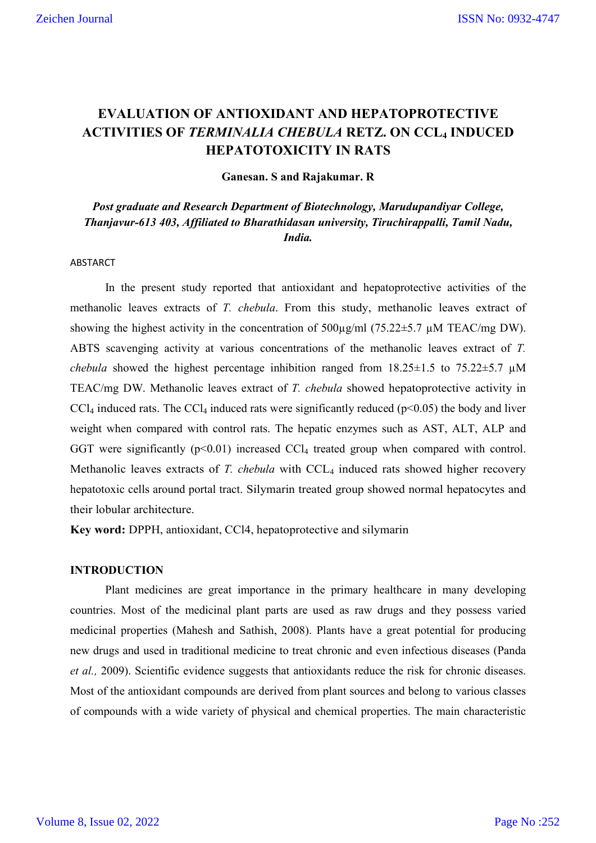# **EVALUATION OF ANTIOXIDANT AND HEPATOPROTECTIVE ACTIVITIES OF** *TERMINALIA CHEBULA* **RETZ. ON CCL4 INDUCED HEPATOTOXICITY IN RATS**

**Ganesan. S and Rajakumar. R**

*Post graduate and Research Department of Biotechnology, Marudupandiyar College, Thanjavur-613 403, Affiliated to Bharathidasan university, Tiruchirappalli, Tamil Nadu, India.*

# ABSTARCT

In the present study reported that antioxidant and hepatoprotective activities of the methanolic leaves extracts of *T. chebula*. From this study, methanolic leaves extract of showing the highest activity in the concentration of  $500\mu\text{g/ml}$  (75.22 $\pm$ 5.7  $\mu$ M TEAC/mg DW). ABTS scavenging activity at various concentrations of the methanolic leaves extract of *T. chebula* showed the highest percentage inhibition ranged from  $18.25 \pm 1.5$  to  $75.22 \pm 5.7$   $\mu$ M TEAC/mg DW. Methanolic leaves extract of *T. chebula* showed hepatoprotective activity in  $CCl<sub>4</sub>$  induced rats. The  $CCl<sub>4</sub>$  induced rats were significantly reduced ( $p<0.05$ ) the body and liver weight when compared with control rats. The hepatic enzymes such as AST, ALT, ALP and GGT were significantly  $(p<0.01)$  increased CCl<sub>4</sub> treated group when compared with control. Methanolic leaves extracts of *T. chebula* with CCL<sub>4</sub> induced rats showed higher recovery hepatotoxic cells around portal tract. Silymarin treated group showed normal hepatocytes and their lobular architecture.

**Key word:** DPPH, antioxidant, CCl4, hepatoprotective and silymarin

#### **INTRODUCTION**

Plant medicines are great importance in the primary healthcare in many developing countries. Most of the medicinal plant parts are used as raw drugs and they possess varied medicinal properties (Mahesh and Sathish, 2008). Plants have a great potential for producing new drugs and used in traditional medicine to treat chronic and even infectious diseases (Panda *et al.,* 2009). Scientific evidence suggests that antioxidants reduce the risk for chronic diseases. Most of the antioxidant compounds are derived from plant sources and belong to various classes of compounds with a wide variety of physical and chemical properties. The main characteristic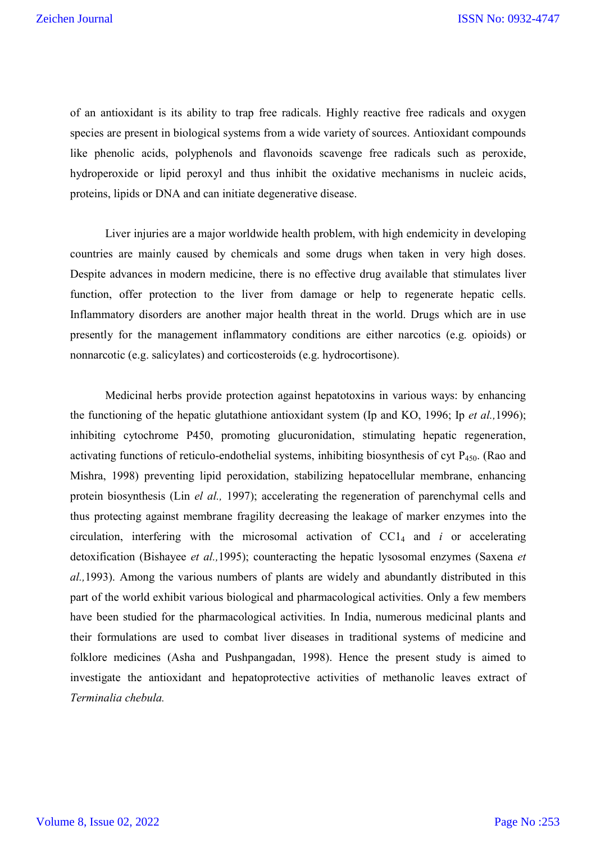of an antioxidant is its ability to trap free radicals. Highly reactive free radicals and oxygen species are present in biological systems from a wide variety of sources. Antioxidant compounds like phenolic acids, polyphenols and flavonoids scavenge free radicals such as peroxide, hydroperoxide or lipid peroxyl and thus inhibit the oxidative mechanisms in nucleic acids, proteins, lipids or DNA and can initiate degenerative disease.

Liver injuries are a major worldwide health problem, with high endemicity in developing countries are mainly caused by chemicals and some drugs when taken in very high doses. Despite advances in modern medicine, there is no effective drug available that stimulates liver function, offer protection to the liver from damage or help to regenerate hepatic cells. Inflammatory disorders are another major health threat in the world. Drugs which are in use presently for the management inflammatory conditions are either narcotics (e.g. opioids) or nonnarcotic (e.g. salicylates) and corticosteroids (e.g. hydrocortisone).

Medicinal herbs provide protection against hepatotoxins in various ways: by enhancing the functioning of the hepatic glutathione antioxidant system (Ip and KO, 1996; Ip *et al.,*1996); inhibiting cytochrome P450, promoting glucuronidation, stimulating hepatic regeneration, activating functions of reticulo-endothelial systems, inhibiting biosynthesis of cyt  $P_{450}$ . (Rao and Mishra, 1998) preventing lipid peroxidation, stabilizing hepatocellular membrane, enhancing protein biosynthesis (Lin *el al.,* 1997); accelerating the regeneration of parenchymal cells and thus protecting against membrane fragility decreasing the leakage of marker enzymes into the circulation, interfering with the microsomal activation of  $CC1<sub>4</sub>$  and *i* or accelerating detoxification (Bishayee *et al.,*1995); counteracting the hepatic lysosomal enzymes (Saxena *et al.,*1993). Among the various numbers of plants are widely and abundantly distributed in this part of the world exhibit various biological and pharmacological activities. Only a few members have been studied for the pharmacological activities. In India, numerous medicinal plants and their formulations are used to combat liver diseases in traditional systems of medicine and folklore medicines (Asha and Pushpangadan, 1998). Hence the present study is aimed to investigate the antioxidant and hepatoprotective activities of methanolic leaves extract of *Terminalia chebula.*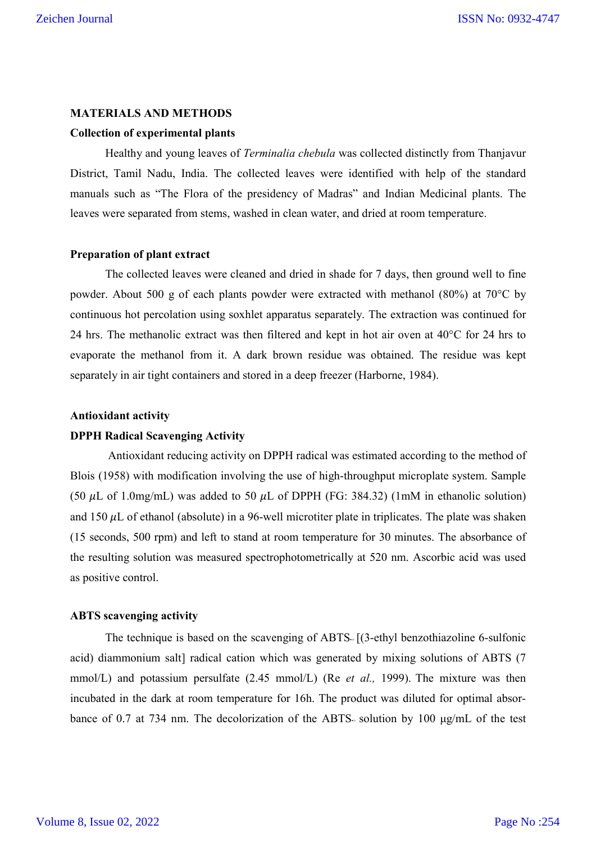#### **MATERIALS AND METHODS**

#### **Collection of experimental plants**

Healthy and young leaves of *Terminalia chebula* was collected distinctly from Thanjavur District, Tamil Nadu, India. The collected leaves were identified with help of the standard manuals such as "The Flora of the presidency of Madras" and Indian Medicinal plants. The leaves were separated from stems, washed in clean water, and dried at room temperature.

#### **Preparation of plant extract**

The collected leaves were cleaned and dried in shade for 7 days, then ground well to fine powder. About 500 g of each plants powder were extracted with methanol (80%) at 70°C by continuous hot percolation using soxhlet apparatus separately. The extraction was continued for 24 hrs. The methanolic extract was then filtered and kept in hot air oven at  $40^{\circ}$ C for 24 hrs to evaporate the methanol from it. A dark brown residue was obtained. The residue was kept separately in air tight containers and stored in a deep freezer (Harborne, 1984).

#### **Antioxidant activity**

# **DPPH Radical Scavenging Activity**

Antioxidant reducing activity on DPPH radical was estimated according to the method of Blois (1958) with modification involving the use of high-throughput microplate system. Sample (50  $\mu$ L of 1.0mg/mL) was added to 50  $\mu$ L of DPPH (FG: 384.32) (1mM in ethanolic solution) and 150  $\mu$ L of ethanol (absolute) in a 96-well microtiter plate in triplicates. The plate was shaken (15 seconds, 500 rpm) and left to stand at room temperature for 30 minutes. The absorbance of the resulting solution was measured spectrophotometrically at 520 nm. Ascorbic acid was used as positive control.

# **ABTS scavenging activity**

The technique is based on the scavenging of ABTS $+[$  (3-ethyl benzothiazoline 6-sulfonic acid) diammonium salt] radical cation which was generated by mixing solutions of ABTS (7 mmol/L) and potassium persulfate (2.45 mmol/L) (Re *et al.,* 1999). The mixture was then incubated in the dark at room temperature for 16h. The product was diluted for optimal absorbance of 0.7 at 734 nm. The decolorization of the ABTS+ solution by 100  $\mu$ g/mL of the test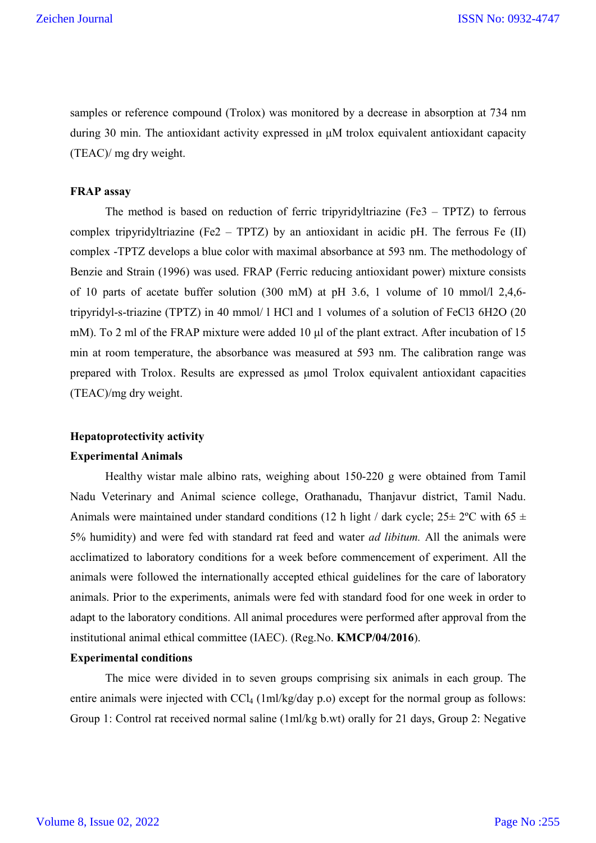samples or reference compound (Trolox) was monitored by a decrease in absorption at 734 nm during 30 min. The antioxidant activity expressed in μM trolox equivalent antioxidant capacity (TEAC)/ mg dry weight.

# **FRAP assay**

The method is based on reduction of ferric tripyridyltriazine (Fe3 – TPTZ) to ferrous complex tripyridyltriazine (Fe2 – TPTZ) by an antioxidant in acidic pH. The ferrous Fe  $(II)$ complex -TPTZ develops a blue color with maximal absorbance at 593 nm. The methodology of Benzie and Strain (1996) was used. FRAP (Ferric reducing antioxidant power) mixture consists of 10 parts of acetate buffer solution (300 mM) at pH 3.6, 1 volume of 10 mmol/l 2,4,6 tripyridyl-s-triazine (TPTZ) in 40 mmol/ l HCl and 1 volumes of a solution of FeCl3 6H2O (20 mM). To 2 ml of the FRAP mixture were added 10 μl of the plant extract. After incubation of 15 min at room temperature, the absorbance was measured at 593 nm. The calibration range was prepared with Trolox. Results are expressed as μmol Trolox equivalent antioxidant capacities (TEAC)/mg dry weight.

# **Hepatoprotectivity activity**

# **Experimental Animals**

Healthy wistar male albino rats, weighing about 150-220 g were obtained from Tamil Nadu Veterinary and Animal science college, Orathanadu, Thanjavur district, Tamil Nadu. Animals were maintained under standard conditions (12 h light / dark cycle;  $25 \pm 2$ °C with 65  $\pm$ 5% humidity) and were fed with standard rat feed and water *ad libitum.* All the animals were acclimatized to laboratory conditions for a week before commencement of experiment. All the animals were followed the internationally accepted ethical guidelines for the care of laboratory animals. Prior to the experiments, animals were fed with standard food for one week in order to adapt to the laboratory conditions. All animal procedures were performed after approval from the institutional animal ethical committee (IAEC). (Reg.No. **KMCP/04/2016**).

# **Experimental conditions**

The mice were divided in to seven groups comprising six animals in each group. The entire animals were injected with  $\text{CCl}_4$  (1ml/kg/day p.o) except for the normal group as follows: Group 1: Control rat received normal saline (1ml/kg b.wt) orally for 21 days, Group 2: Negative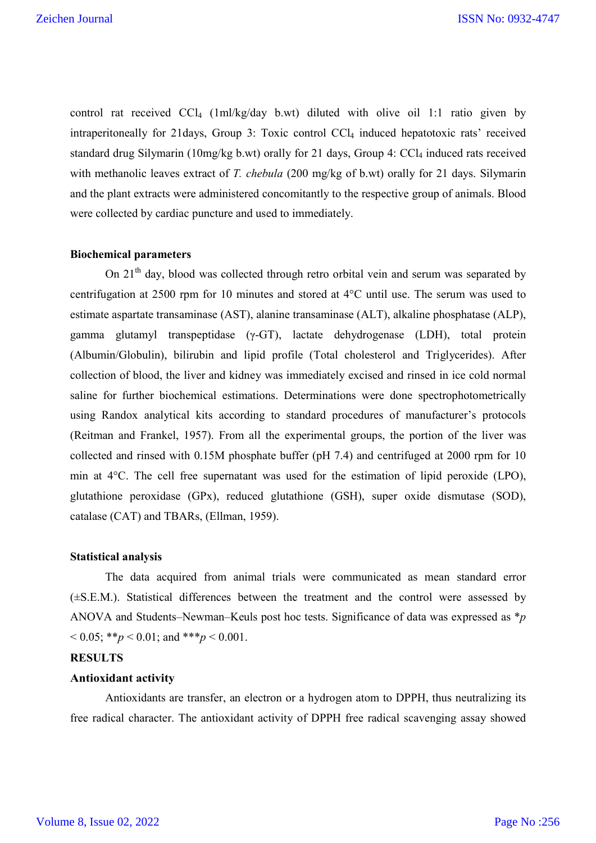control rat received  $CCl_4$  (1ml/kg/day b.wt) diluted with olive oil 1:1 ratio given by intraperitoneally for 21days, Group 3: Toxic control CCl<sub>4</sub> induced hepatotoxic rats' received standard drug Silymarin (10mg/kg b.wt) orally for 21 days, Group 4: CCl<sub>4</sub> induced rats received with methanolic leaves extract of *T. chebula* (200 mg/kg of b.wt) orally for 21 days. Silymarin and the plant extracts were administered concomitantly to the respective group of animals. Blood were collected by cardiac puncture and used to immediately.

#### **Biochemical parameters**

On  $21<sup>th</sup>$  day, blood was collected through retro orbital vein and serum was separated by centrifugation at 2500 rpm for 10 minutes and stored at 4°C until use. The serum was used to estimate aspartate transaminase (AST), alanine transaminase (ALT), alkaline phosphatase (ALP), gamma glutamyl transpeptidase (γ-GT), lactate dehydrogenase (LDH), total protein (Albumin/Globulin), bilirubin and lipid profile (Total cholesterol and Triglycerides). After collection of blood, the liver and kidney was immediately excised and rinsed in ice cold normal saline for further biochemical estimations. Determinations were done spectrophotometrically using Randox analytical kits according to standard procedures of manufacturer's protocols (Reitman and Frankel, 1957). From all the experimental groups, the portion of the liver was collected and rinsed with 0.15M phosphate buffer (pH 7.4) and centrifuged at 2000 rpm for 10 min at 4°C. The cell free supernatant was used for the estimation of lipid peroxide (LPO), glutathione peroxidase (GPx), reduced glutathione (GSH), super oxide dismutase (SOD), catalase (CAT) and TBARs, (Ellman, 1959).

#### **Statistical analysis**

The data acquired from animal trials were communicated as mean standard error (±S.E.M.). Statistical differences between the treatment and the control were assessed by ANOVA and Students–Newman–Keuls post hoc tests. Significance of data was expressed as \**p*   $< 0.05$ ; \*\**p*  $< 0.01$ ; and \*\*\**p*  $< 0.001$ .

#### **RESULTS**

# **Antioxidant activity**

Antioxidants are transfer, an electron or a hydrogen atom to DPPH, thus neutralizing its free radical character. The antioxidant activity of DPPH free radical scavenging assay showed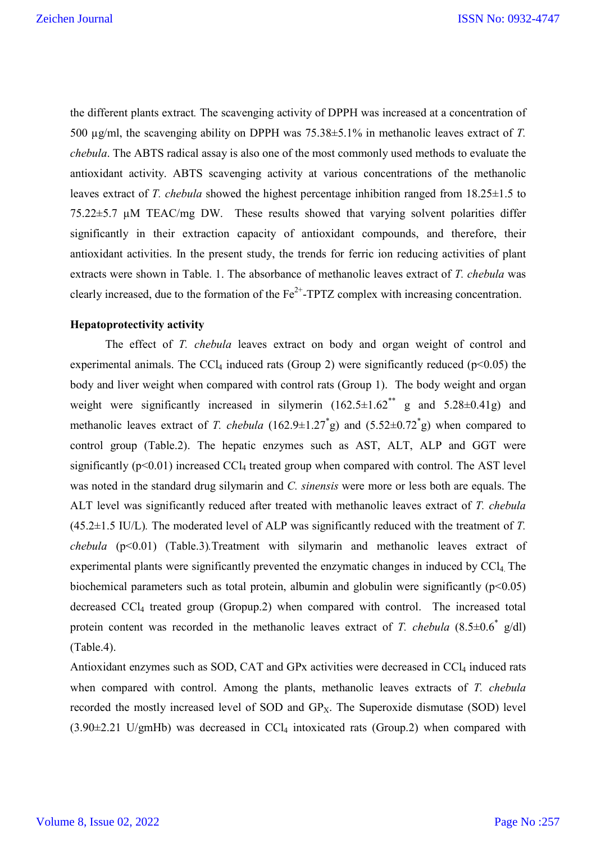the different plants extract*.* The scavenging activity of DPPH was increased at a concentration of 500 µg/ml, the scavenging ability on DPPH was 75.38±5.1% in methanolic leaves extract of *T. chebula*. The ABTS radical assay is also one of the most commonly used methods to evaluate the antioxidant activity. ABTS scavenging activity at various concentrations of the methanolic leaves extract of *T. chebula* showed the highest percentage inhibition ranged from 18.25±1.5 to 75.22±5.7 µM TEAC/mg DW. These results showed that varying solvent polarities differ significantly in their extraction capacity of antioxidant compounds, and therefore, their antioxidant activities. In the present study, the trends for ferric ion reducing activities of plant extracts were shown in Table. 1. The absorbance of methanolic leaves extract of *T. chebula* was clearly increased, due to the formation of the  $Fe^{2+}$ -TPTZ complex with increasing concentration.

# **Hepatoprotectivity activity**

The effect of *T. chebula* leaves extract on body and organ weight of control and experimental animals. The CCl<sub>4</sub> induced rats (Group 2) were significantly reduced ( $p$ <0.05) the body and liver weight when compared with control rats (Group 1). The body weight and organ weight were significantly increased in silymerin  $(162.5\pm1.62^{**})$  g and  $5.28\pm0.41$ g) and methanolic leaves extract of *T. chebula*  $(162.9 \pm 1.27^* g)$  and  $(5.52 \pm 0.72^* g)$  when compared to control group (Table.2). The hepatic enzymes such as AST, ALT, ALP and GGT were significantly ( $p<0.01$ ) increased CCl<sub>4</sub> treated group when compared with control. The AST level was noted in the standard drug silymarin and *C. sinensis* were more or less both are equals. The ALT level was significantly reduced after treated with methanolic leaves extract of *T. chebula*  (45.2±1.5 IU/L)*.* The moderated level of ALP was significantly reduced with the treatment of *T. chebula* (p<0.01) (Table.3)*.*Treatment with silymarin and methanolic leaves extract of experimental plants were significantly prevented the enzymatic changes in induced by CCl<sub>4</sub>. The biochemical parameters such as total protein, albumin and globulin were significantly  $(p<0.05)$ decreased CCl4 treated group (Gropup.2) when compared with control. The increased total protein content was recorded in the methanolic leaves extract of *T. chebula* (8.5±0.6\* g/dl) (Table.4).

Antioxidant enzymes such as SOD, CAT and GPx activities were decreased in CCl<sub>4</sub> induced rats when compared with control. Among the plants, methanolic leaves extracts of *T. chebula*  recorded the mostly increased level of SOD and  $GP<sub>X</sub>$ . The Superoxide dismutase (SOD) level  $(3.90\pm2.21 \text{ U/gmHb})$  was decreased in CCl<sub>4</sub> intoxicated rats (Group.2) when compared with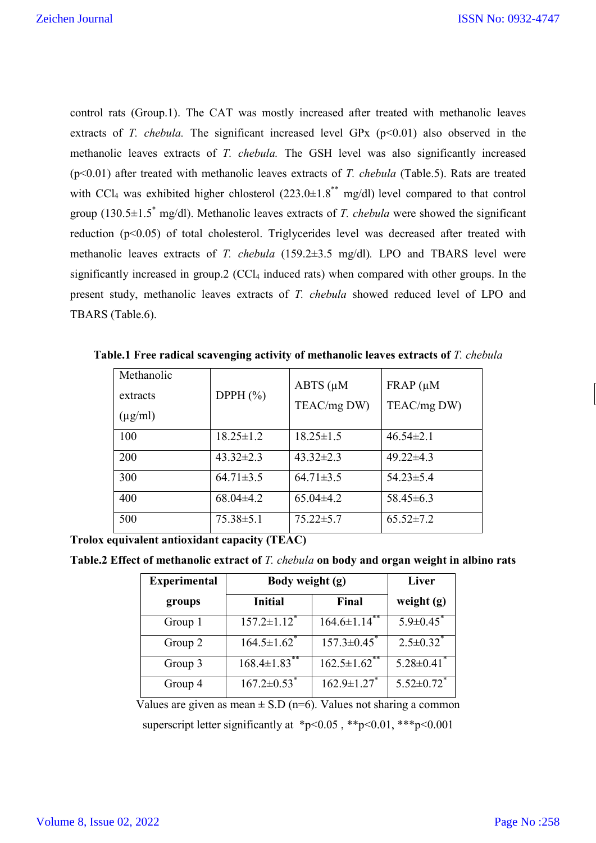control rats (Group.1). The CAT was mostly increased after treated with methanolic leaves extracts of *T. chebula*. The significant increased level GPx  $(p<0.01)$  also observed in the methanolic leaves extracts of *T. chebula.* The GSH level was also significantly increased (p<0.01) after treated with methanolic leaves extracts of *T. chebula* (Table.5). Rats are treated with CCl<sub>4</sub> was exhibited higher chlosterol  $(223.0\pm1.8^{**} \text{ mg/dl})$  level compared to that control group (130.5±1.5\* mg/dl). Methanolic leaves extracts of *T. chebula* were showed the significant reduction (p<0.05) of total cholesterol. Triglycerides level was decreased after treated with methanolic leaves extracts of *T. chebula* (159.2±3.5 mg/dl)*.* LPO and TBARS level were significantly increased in group.  $2$  (CCl<sub>4</sub> induced rats) when compared with other groups. In the present study, methanolic leaves extracts of *T. chebula* showed reduced level of LPO and TBARS (Table.6).

| Methanolic<br>extracts<br>$(\mu g/ml)$ | DPPH $(\% )$    | $ABTS$ ( $\mu$ M<br>TEAC/mg DW) | $FRAP$ ( $\mu$ M<br>TEAC/mg DW) |
|----------------------------------------|-----------------|---------------------------------|---------------------------------|
| 100                                    | $18.25 \pm 1.2$ | $18.25 \pm 1.5$                 | $46.54 \pm 2.1$                 |
| 200                                    | $43.32 \pm 2.3$ | $43.32 \pm 2.3$                 | $49.22 \pm 4.3$                 |
| 300                                    | $64.71 \pm 3.5$ | $64.71 \pm 3.5$                 | $54.23 \pm 5.4$                 |
| 400                                    | $68.04\pm4.2$   | $65.04\pm4.2$                   | $58.45\pm 6.3$                  |
| 500                                    | $75.38 \pm 5.1$ | $75.22 \pm 5.7$                 | $65.52 \pm 7.2$                 |

**Table.1 Free radical scavenging activity of methanolic leaves extracts of** *T. chebula* 

**Trolox equivalent antioxidant capacity (TEAC)**

| Table.2 Effect of methanolic extract of T. chebula on body and organ weight in albino rats |  |  |  |  |
|--------------------------------------------------------------------------------------------|--|--|--|--|
|--------------------------------------------------------------------------------------------|--|--|--|--|

| <b>Experimental</b> | Body weight (g)                | Liver                         |                              |
|---------------------|--------------------------------|-------------------------------|------------------------------|
| groups              | <b>Initial</b>                 | Final                         | weight $(g)$                 |
| Group 1             | $157.2 \pm 1.12$ <sup>*</sup>  | $164.6 \pm 1.14$ <sup>*</sup> | $5.9 \pm 0.45$               |
| Group 2             | $164.5 \pm 1.62$ <sup>*</sup>  | $157.3 \pm 0.45$ <sup>*</sup> | $2.5 \pm 0.32$ <sup>*</sup>  |
| Group 3             | $168.4 \pm 1.83$ <sup>**</sup> | $162.5 \pm 1.62$ **           | $5.28 \pm 0.41$ <sup>*</sup> |
| Group 4             | $167.2 \pm 0.53$ <sup>*</sup>  | $162.9 \pm 1.27$              | $5.52 \pm 0.72$ <sup>*</sup> |

Values are given as mean  $\pm$  S.D (n=6). Values not sharing a common superscript letter significantly at \*p<0.05, \*\*p<0.01, \*\*\*p<0.001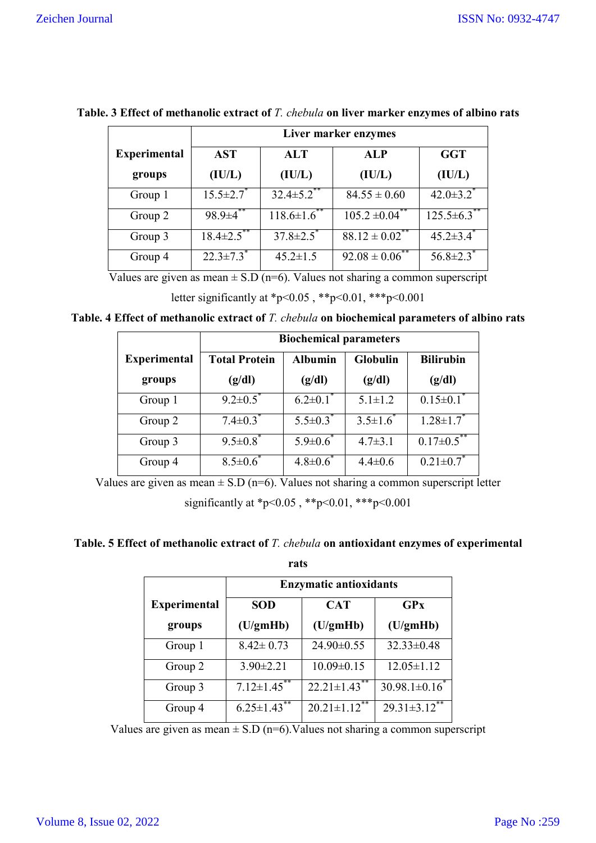|                     | Liver marker enzymes        |                   |                                |                              |
|---------------------|-----------------------------|-------------------|--------------------------------|------------------------------|
| <b>Experimental</b> | <b>AST</b>                  | <b>ALT</b>        | <b>ALP</b>                     | <b>GGT</b>                   |
| groups              | (IU/L)                      | (IU/L)            | (IU/L)                         | (IU/L)                       |
| Group 1             | $15.5 \pm 2.7$              | $32.4 \pm 5.2$ ** | $84.55 \pm 0.60$               | $42.0 \pm 3.2$ <sup>*</sup>  |
| Group 2             | $98.9 \pm 4^{**}$           | $118.6 \pm 1.6$   | $105.2 \pm 0.04$ **            | $125.5 \pm 6.3$ <sup>*</sup> |
| Group 3             | $18.4 \pm 2.5$ **           | $37.8 \pm 2.5$    | $88.12 \pm 0.02$ <sup>**</sup> | $45.2 \pm 3.4$ <sup>*</sup>  |
| Group 4             | $22.3 \pm 7.3$ <sup>*</sup> | $45.2 \pm 1.5$    | $92.08 \pm 0.06^*$             | $56.8 \pm 2.3$               |

**Table. 3 Effect of methanolic extract of** *T. chebula* **on liver marker enzymes of albino rats**

Values are given as mean  $\pm$  S.D (n=6). Values not sharing a common superscript

```
letter significantly at *p<0.05, **p<0.01, ***p<0.001
```
**Table. 4 Effect of methanolic extract of** *T. chebula* **on biochemical parameters of albino rats**

|                     | <b>Biochemical parameters</b> |                                                       |                 |                   |  |  |  |
|---------------------|-------------------------------|-------------------------------------------------------|-----------------|-------------------|--|--|--|
| <b>Experimental</b> | <b>Total Protein</b>          | <b>Albumin</b><br><b>Globulin</b><br><b>Bilirubin</b> |                 |                   |  |  |  |
| groups              | (g/dl)                        | (g/dl)                                                | (g/dl)          | (g/dl)            |  |  |  |
| Group 1             | $9.2 \pm 0.5^*$               | $6.2 \pm 0.1$ <sup>*</sup>                            | $5.1 \pm 1.2$   | $0.15 \pm 0.1^*$  |  |  |  |
| Group 2             | $7.4 \pm 0.3$ <sup>*</sup>    | $5.5 \pm 0.3$                                         | $3.5 \pm 1.6^*$ | $1.28 \pm 1.7^*$  |  |  |  |
| Group 3             | $9.5 \pm 0.8$                 | $5.9 \pm 0.6^*$                                       | $4.7 \pm 3.1$   | $0.17 \pm 0.5$ ** |  |  |  |
| Group 4             | $8.5 \pm 0.6$                 | $4.8 \pm 0.6^*$                                       | $4.4 \pm 0.6$   | $0.21 \pm 0.7$    |  |  |  |

Values are given as mean  $\pm$  S.D (n=6). Values not sharing a common superscript letter

significantly at \*p<0.05, \*\*p<0.01, \*\*\*p<0.001

**Table. 5 Effect of methanolic extract of** *T. chebula* **on antioxidant enzymes of experimental** 

**rats**

|                     | <b>Enzymatic antioxidants</b> |                                     |                               |  |
|---------------------|-------------------------------|-------------------------------------|-------------------------------|--|
| <b>Experimental</b> | <b>SOD</b>                    | GPX                                 |                               |  |
| groups              | (U/gmHb)                      | (U/gmHb)                            | (U/gmHb)                      |  |
| Group 1             | $8.42 \pm 0.73$               | 24.90±0.55                          | $32.33 \pm 0.48$              |  |
| Group 2             | $3.90 \pm 2.21$               | $10.09 \pm 0.15$                    | $12.05 \pm 1.12$              |  |
| Group 3             | $7.12 \pm 1.45$ **            | $22.21 \pm 1.43$ **                 | $30.98.1 \pm 0.16^*$          |  |
| Group 4             | $6.25 \pm 1.43$ <sup>*</sup>  | **<br>$20.21 \pm 1.12$ <sup>*</sup> | $29.31 \pm 3.12$ <sup>*</sup> |  |

Values are given as mean  $\pm$  S.D (n=6). Values not sharing a common superscript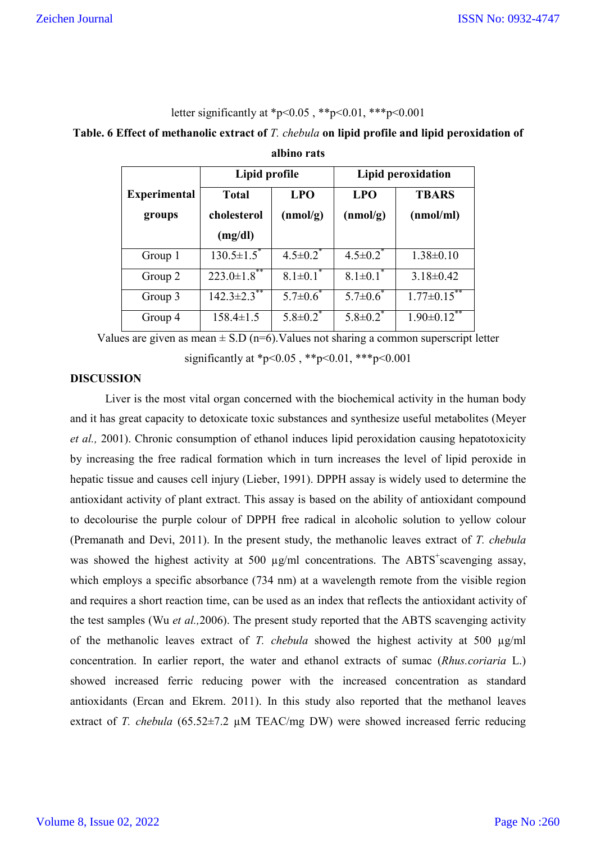# letter significantly at \*p<0.05, \*\*p<0.01, \*\*\*p<0.001

# **Table. 6 Effect of methanolic extract of** *T. chebula* **on lipid profile and lipid peroxidation of**

|                     | Lipid profile                |                            | Lipid peroxidation         |                    |
|---------------------|------------------------------|----------------------------|----------------------------|--------------------|
| <b>Experimental</b> | <b>Total</b>                 | <b>LPO</b>                 | <b>LPO</b>                 | <b>TBARS</b>       |
| groups              | cholesterol                  | (nmol/g)                   | (nmol/g)                   | (nmol/ml)          |
|                     | (mg/dl)                      |                            |                            |                    |
| Group 1             | $130.5 \pm 1.5$ <sup>*</sup> | $4.5 \pm 0.2$              | $4.5 \pm 0.2$ <sup>*</sup> | $1.38 \pm 0.10$    |
| Group 2             | $223.0 \pm 1.8$ **           | $8.1 \pm 0.1$ <sup>*</sup> | $8.1 \pm 0.1$ <sup>*</sup> | $3.18 \pm 0.42$    |
| Group 3             | $142.3\pm2.3$ **             | $5.7 \pm 0.6^*$            | $5.7 \pm 0.6^*$            | $1.77 \pm 0.15$ ** |
| Group 4             | $158.4 \pm 1.5$              | $5.8 \pm 0.2^{\degree}$    | $5.8 \pm 0.2^{\degree}$    | $1.90 \pm 0.12$ ** |

**albino rats**

Values are given as mean  $\pm$  S.D (n=6). Values not sharing a common superscript letter significantly at \*p<0.05, \*\*p<0.01, \*\*\*p<0.001

# **DISCUSSION**

Liver is the most vital organ concerned with the biochemical activity in the human body and it has great capacity to detoxicate toxic substances and synthesize useful metabolites (Meyer *et al.,* 2001). Chronic consumption of ethanol induces lipid peroxidation causing hepatotoxicity by increasing the free radical formation which in turn increases the level of lipid peroxide in hepatic tissue and causes cell injury (Lieber, 1991). DPPH assay is widely used to determine the antioxidant activity of plant extract. This assay is based on the ability of antioxidant compound to decolourise the purple colour of DPPH free radical in alcoholic solution to yellow colour (Premanath and Devi, 2011). In the present study, the methanolic leaves extract of *T. chebula* was showed the highest activity at 500  $\mu$ g/ml concentrations. The ABTS<sup>+</sup>scavenging assay, which employs a specific absorbance (734 nm) at a wavelength remote from the visible region and requires a short reaction time, can be used as an index that reflects the antioxidant activity of the test samples (Wu *et al.,*2006). The present study reported that the ABTS scavenging activity of the methanolic leaves extract of *T. chebula* showed the highest activity at 500 µg/ml concentration. In earlier report, the water and ethanol extracts of sumac (*Rhus.coriaria* L.) showed increased ferric reducing power with the increased concentration as standard antioxidants (Ercan and Ekrem. 2011). In this study also reported that the methanol leaves extract of *T. chebula* (65.52±7.2 µM TEAC/mg DW) were showed increased ferric reducing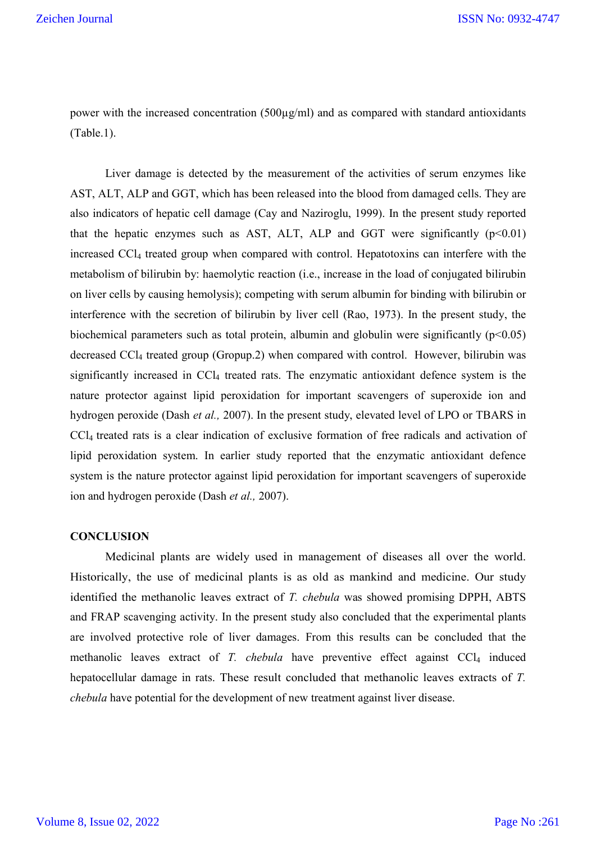power with the increased concentration (500µg/ml) and as compared with standard antioxidants (Table.1).

Liver damage is detected by the measurement of the activities of serum enzymes like AST, ALT, ALP and GGT, which has been released into the blood from damaged cells. They are also indicators of hepatic cell damage (Cay and Naziroglu, 1999). In the present study reported that the hepatic enzymes such as AST, ALT, ALP and GGT were significantly  $(p<0.01)$ increased CCl4 treated group when compared with control. Hepatotoxins can interfere with the metabolism of bilirubin by: haemolytic reaction (i.e., increase in the load of conjugated bilirubin on liver cells by causing hemolysis); competing with serum albumin for binding with bilirubin or interference with the secretion of bilirubin by liver cell (Rao, 1973). In the present study, the biochemical parameters such as total protein, albumin and globulin were significantly  $(p<0.05)$ decreased CCl4 treated group (Gropup.2) when compared with control. However, bilirubin was significantly increased in CCl<sub>4</sub> treated rats. The enzymatic antioxidant defence system is the nature protector against lipid peroxidation for important scavengers of superoxide ion and hydrogen peroxide (Dash *et al.,* 2007). In the present study, elevated level of LPO or TBARS in CCl4 treated rats is a clear indication of exclusive formation of free radicals and activation of lipid peroxidation system. In earlier study reported that the enzymatic antioxidant defence system is the nature protector against lipid peroxidation for important scavengers of superoxide ion and hydrogen peroxide (Dash *et al.,* 2007).

#### **CONCLUSION**

Medicinal plants are widely used in management of diseases all over the world. Historically, the use of medicinal plants is as old as mankind and medicine. Our study identified the methanolic leaves extract of *T. chebula* was showed promising DPPH, ABTS and FRAP scavenging activity. In the present study also concluded that the experimental plants are involved protective role of liver damages. From this results can be concluded that the methanolic leaves extract of *T. chebula* have preventive effect against CCl<sub>4</sub> induced hepatocellular damage in rats. These result concluded that methanolic leaves extracts of *T. chebula* have potential for the development of new treatment against liver disease.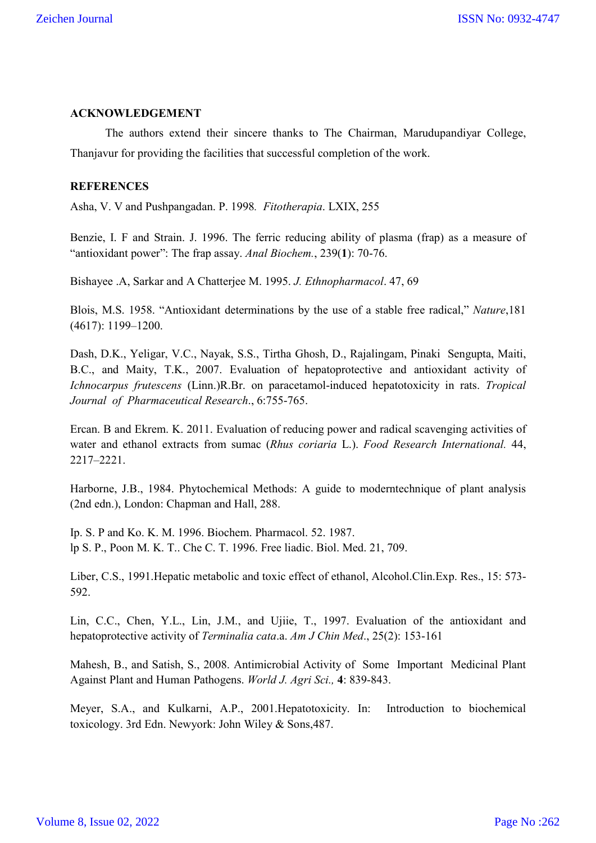# **ACKNOWLEDGEMENT**

The authors extend their sincere thanks to The Chairman, Marudupandiyar College, Thanjavur for providing the facilities that successful completion of the work.

# **REFERENCES**

Asha, V. V and Pushpangadan. P. 1998*. Fitotherapia*. LXIX, 255

Benzie, I. F and Strain. J. 1996. The ferric reducing ability of plasma (frap) as a measure of "antioxidant power": The frap assay. *Anal Biochem.*, 239(**1**): 70-76.

Bishayee .A, Sarkar and A Chatterjee M. 1995. *J. Ethnopharmacol*. 47, 69

Blois, M.S. 1958. "Antioxidant determinations by the use of a stable free radical," *Nature*,181 (4617): 1199–1200.

Dash, D.K., Yeligar, V.C., Nayak, S.S., Tirtha Ghosh, D., Rajalingam, Pinaki Sengupta, Maiti, B.C., and Maity, T.K., 2007. Evaluation of hepatoprotective and antioxidant activity of *Ichnocarpus frutescens* (Linn.)R.Br. on paracetamol-induced hepatotoxicity in rats. *Tropical Journal of Pharmaceutical Research*., 6:755-765.

Ercan. B and Ekrem. K. 2011. Evaluation of reducing power and radical scavenging activities of water and ethanol extracts from sumac (*Rhus coriaria* L.). *Food Research International.* 44, 2217–2221.

Harborne, J.B., 1984. Phytochemical Methods: A guide to moderntechnique of plant analysis (2nd edn.), London: Chapman and Hall, 288.

Ip. S. P and Ko. K. M. 1996. Biochem. Pharmacol. 52. 1987. lp S. P., Poon M. K. T.. Che C. T. 1996. Free liadic. Biol. Med. 21, 709.

Liber, C.S., 1991.Hepatic metabolic and toxic effect of ethanol, Alcohol.Clin.Exp. Res., 15: 573- 592.

Lin, C.C., Chen, Y.L., Lin, J.M., and Ujiie, T., 1997. Evaluation of the antioxidant and hepatoprotective activity of *Terminalia cata*.a. *Am J Chin Med*., 25(2): 153-161

Mahesh, B., and Satish, S., 2008. Antimicrobial Activity of Some Important Medicinal Plant Against Plant and Human Pathogens. *World J. Agri Sci.,* **4**: 839-843.

Meyer, S.A., and Kulkarni, A.P., 2001.Hepatotoxicity. In: Introduction to biochemical toxicology. 3rd Edn. Newyork: John Wiley & Sons,487.